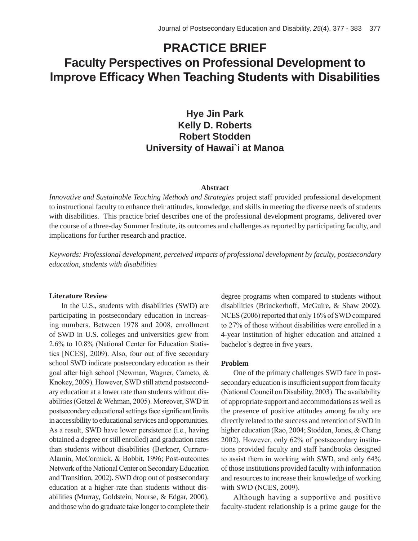# **PRACTICE BRIEF Faculty Perspectives on Professional Development to Improve Efficacy When Teaching Students with Disabilities**

**Hye Jin Park Kelly D. Roberts Robert Stodden University of Hawai`i at Manoa**

# **Abstract**

*Innovative and Sustainable Teaching Methods and Strategies* project staff provided professional development to instructional faculty to enhance their attitudes, knowledge, and skills in meeting the diverse needs of students with disabilities. This practice brief describes one of the professional development programs, delivered over the course of a three-day Summer Institute, its outcomes and challenges as reported by participating faculty, and implications for further research and practice.

*Keywords: Professional development, perceived impacts of professional development by faculty, postsecondary education, students with disabilities*

## **Literature Review**

In the U.S., students with disabilities (SWD) are participating in postsecondary education in increasing numbers. Between 1978 and 2008, enrollment of SWD in U.S. colleges and universities grew from 2.6% to 10.8% (National Center for Education Statistics [NCES], 2009). Also, four out of five secondary school SWD indicate postsecondary education as their goal after high school (Newman, Wagner, Cameto, & Knokey, 2009). However, SWD still attend postsecondary education at a lower rate than students without disabilities (Getzel & Wehman, 2005). Moreover, SWD in postsecondary educational settings face significant limits in accessibility to educational services and opportunities. As a result, SWD have lower persistence (i.e., having obtained a degree or still enrolled) and graduation rates than students without disabilities (Berkner, Curraro-Alamin, McCormick, & Bobbit, 1996; Post-outcomes Network of the National Center on Secondary Education and Transition, 2002). SWD drop out of postsecondary education at a higher rate than students without disabilities (Murray, Goldstein, Nourse, & Edgar, 2000), and those who do graduate take longer to complete their

degree programs when compared to students without disabilities (Brinckerhoff, McGuire, & Shaw 2002). NCES (2006) reported that only 16% of SWD compared to 27% of those without disabilities were enrolled in a 4-year institution of higher education and attained a bachelor's degree in five years.

#### **Problem**

One of the primary challenges SWD face in postsecondary education is insufficient support from faculty (National Council on Disability, 2003). The availability of appropriate support and accommodations as well as the presence of positive attitudes among faculty are directly related to the success and retention of SWD in higher education (Rao, 2004; Stodden, Jones, & Chang 2002). However, only 62% of postsecondary institutions provided faculty and staff handbooks designed to assist them in working with SWD, and only 64% of those institutions provided faculty with information and resources to increase their knowledge of working with SWD (NCES, 2009).

Although having a supportive and positive faculty-student relationship is a prime gauge for the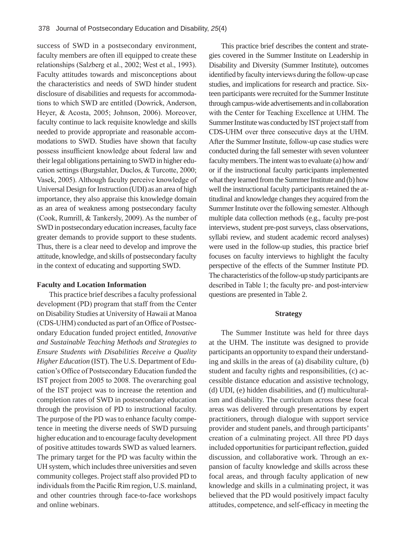success of SWD in a postsecondary environment, faculty members are often ill equipped to create these relationships (Salzberg et al., 2002; West et al., 1993). Faculty attitudes towards and misconceptions about the characteristics and needs of SWD hinder student disclosure of disabilities and requests for accommodations to which SWD are entitled (Dowrick, Anderson, Heyer, & Acosta, 2005; Johnson, 2006). Moreover, faculty continue to lack requisite knowledge and skills needed to provide appropriate and reasonable accommodations to SWD. Studies have shown that faculty possess insufficient knowledge about federal law and their legal obligations pertaining to SWD in higher education settings (Burgstahler, Duclos, & Turcotte, 2000; Vasek, 2005). Although faculty perceive knowledge of Universal Design for Instruction (UDI) as an area of high importance, they also appraise this knowledge domain as an area of weakness among postsecondary faculty (Cook, Rumrill, & Tankersly, 2009). As the number of SWD in postsecondary education increases, faculty face greater demands to provide support to these students. Thus, there is a clear need to develop and improve the attitude, knowledge, and skills of postsecondary faculty in the context of educating and supporting SWD.

#### **Faculty and Location Information**

This practice brief describes a faculty professional development (PD) program that staff from the Center on Disability Studies at University of Hawaii at Manoa (CDS-UHM) conducted as part of an Office of Postsecondary Education funded project entitled, *Innovative and Sustainable Teaching Methods and Strategies to Ensure Students with Disabilities Receive a Quality Higher Education* (IST). The U.S. Department of Education's Office of Postsecondary Education funded the IST project from 2005 to 2008. The overarching goal of the IST project was to increase the retention and completion rates of SWD in postsecondary education through the provision of PD to instructional faculty. The purpose of the PD was to enhance faculty competence in meeting the diverse needs of SWD pursuing higher education and to encourage faculty development of positive attitudes towards SWD as valued learners. The primary target for the PD was faculty within the UH system, which includes three universities and seven community colleges. Project staff also provided PD to individuals from the Pacific Rim region, U.S. mainland, and other countries through face-to-face workshops and online webinars.

This practice brief describes the content and strategies covered in the Summer Institute on Leadership in Disability and Diversity (Summer Institute), outcomes identified by faculty interviews during the follow-up case studies, and implications for research and practice. Sixteen participants were recruited for the Summer Institute through campus-wide advertisements and in collaboration with the Center for Teaching Excellence at UHM. The Summer Institute was conducted by IST project staff from CDS-UHM over three consecutive days at the UHM. After the Summer Institute, follow-up case studies were conducted during the fall semester with seven volunteer faculty members. The intent was to evaluate (a) how and/ or if the instructional faculty participants implemented what they learned from the Summer Institute and (b) how well the instructional faculty participants retained the attitudinal and knowledge changes they acquired from the Summer Institute over the following semester. Although multiple data collection methods (e.g., faculty pre-post interviews, student pre-post surveys, class observations, syllabi review, and student academic record analyses) were used in the follow-up studies, this practice brief focuses on faculty interviews to highlight the faculty perspective of the effects of the Summer Institute PD. The characteristics of the follow-up study participants are described in Table 1; the faculty pre- and post-interview questions are presented in Table 2.

#### **Strategy**

The Summer Institute was held for three days at the UHM. The institute was designed to provide participants an opportunity to expand their understanding and skills in the areas of (a) disability culture, (b) student and faculty rights and responsibilities, (c) accessible distance education and assistive technology, (d) UDI, (e) hidden disabilities, and (f) multiculturalism and disability. The curriculum across these focal areas was delivered through presentations by expert practitioners, through dialogue with support service provider and student panels, and through participants' creation of a culminating project. All three PD days included opportunities for participant reflection, guided discussion, and collaborative work. Through an expansion of faculty knowledge and skills across these focal areas, and through faculty application of new knowledge and skills in a culminating project, it was believed that the PD would positively impact faculty attitudes, competence, and self-efficacy in meeting the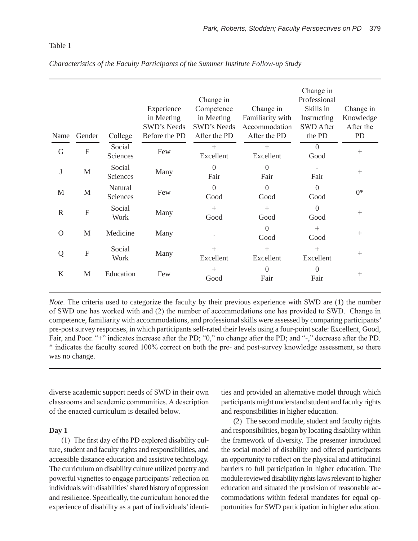# Table 1

| Name         | Gender         | College             | Experience<br>in Meeting<br><b>SWD's Needs</b><br>Before the PD | Change in<br>Competence<br>in Meeting<br>SWD's Needs<br>After the PD | Change in<br>Familiarity with<br>Accommodation<br>After the PD | Change in<br>Professional<br>Skills in<br>Instructing<br><b>SWD After</b><br>the PD | Change in<br>Knowledge<br>After the<br>PD |
|--------------|----------------|---------------------|-----------------------------------------------------------------|----------------------------------------------------------------------|----------------------------------------------------------------|-------------------------------------------------------------------------------------|-------------------------------------------|
| G            | $\mathbf F$    | Social<br>Sciences  | Few                                                             | $^{+}$<br>Excellent                                                  | $^{+}$<br>Excellent                                            | $\Omega$<br>Good                                                                    | $^{+}$                                    |
| $\bf J$      | $\mathbf M$    | Social<br>Sciences  | Many                                                            | $\overline{0}$<br>Fair                                               | $\overline{0}$<br>Fair                                         | Fair                                                                                | $^{+}$                                    |
| M            | M              | Natural<br>Sciences | Few                                                             | $\overline{0}$<br>Good                                               | $\overline{0}$<br>Good                                         | $\theta$<br>Good                                                                    | $0*$                                      |
| $\mathbb{R}$ | $\mathbf F$    | Social<br>Work      | Many                                                            | $^{+}$<br>Good                                                       | $^{+}$<br>Good                                                 | $\overline{0}$<br>Good                                                              | $^{+}$                                    |
| $\Omega$     | M              | Medicine            | Many                                                            |                                                                      | $\theta$<br>Good                                               | $^{+}$<br>Good                                                                      | $^{+}$                                    |
| Q            | $\overline{F}$ | Social<br>Work      | Many                                                            | $^{+}$<br>Excellent                                                  | $+$<br>Excellent                                               | $^{+}$<br>Excellent                                                                 | $^{+}$                                    |
| K            | M              | Education           | Few                                                             | $^{+}$<br>Good                                                       | $\overline{0}$<br>Fair                                         | $\overline{0}$<br>Fair                                                              | $^{+}$                                    |

*Characteristics of the Faculty Participants of the Summer Institute Follow-up Study*

*Note.* The criteria used to categorize the faculty by their previous experience with SWD are (1) the number of SWD one has worked with and (2) the number of accommodations one has provided to SWD. Change in competence, familiarity with accommodations, and professional skills were assessed by comparing participants' pre-post survey responses, in which participants self-rated their levels using a four-point scale: Excellent, Good, Fair, and Poor. "+" indicates increase after the PD; "0," no change after the PD; and "-," decrease after the PD. \* indicates the faculty scored 100% correct on both the pre- and post-survey knowledge assessment, so there was no change.

diverse academic support needs of SWD in their own classrooms and academic communities. A description of the enacted curriculum is detailed below.

#### **Day 1**

(1) The first day of the PD explored disability culture, student and faculty rights and responsibilities, and accessible distance education and assistive technology. The curriculum on disability culture utilized poetry and powerful vignettes to engage participants' reflection on individuals with disabilities' shared history of oppression and resilience. Specifically, the curriculum honored the experience of disability as a part of individuals' identities and provided an alternative model through which participants might understand student and faculty rights and responsibilities in higher education.

(2) The second module, student and faculty rights and responsibilities, began by locating disability within the framework of diversity. The presenter introduced the social model of disability and offered participants an opportunity to reflect on the physical and attitudinal barriers to full participation in higher education. The module reviewed disability rights laws relevant to higher education and situated the provision of reasonable accommodations within federal mandates for equal opportunities for SWD participation in higher education.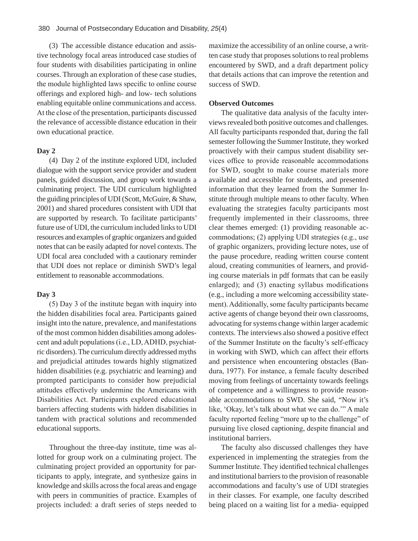(3) The accessible distance education and assistive technology focal areas introduced case studies of four students with disabilities participating in online courses. Through an exploration of these case studies, the module highlighted laws specific to online course offerings and explored high- and low- tech solutions enabling equitable online communications and access. At the close of the presentation, participants discussed the relevance of accessible distance education in their own educational practice.

# **Day 2**

(4) Day 2 of the institute explored UDI, included dialogue with the support service provider and student panels, guided discussion, and group work towards a culminating project. The UDI curriculum highlighted the guiding principles of UDI (Scott, McGuire, & Shaw, 2001) and shared procedures consistent with UDI that are supported by research. To facilitate participants' future use of UDI, the curriculum included links to UDI resources and examples of graphic organizers and guided notes that can be easily adapted for novel contexts. The UDI focal area concluded with a cautionary reminder that UDI does not replace or diminish SWD's legal entitlement to reasonable accommodations.

# **Day 3**

(5) Day 3 of the institute began with inquiry into the hidden disabilities focal area. Participants gained insight into the nature, prevalence, and manifestations of the most common hidden disabilities among adolescent and adult populations (i.e., LD, ADHD, psychiatric disorders). The curriculum directly addressed myths and prejudicial attitudes towards highly stigmatized hidden disabilities (e.g. psychiatric and learning) and prompted participants to consider how prejudicial attitudes effectively undermine the Americans with Disabilities Act. Participants explored educational barriers affecting students with hidden disabilities in tandem with practical solutions and recommended educational supports.

Throughout the three-day institute, time was allotted for group work on a culminating project. The culminating project provided an opportunity for participants to apply, integrate, and synthesize gains in knowledge and skills across the focal areas and engage with peers in communities of practice. Examples of projects included: a draft series of steps needed to

maximize the accessibility of an online course, a written case study that proposes solutions to real problems encountered by SWD, and a draft department policy that details actions that can improve the retention and success of SWD.

# **Observed Outcomes**

The qualitative data analysis of the faculty interviews revealed both positive outcomes and challenges. All faculty participants responded that, during the fall semester following the Summer Institute, they worked proactively with their campus student disability services office to provide reasonable accommodations for SWD, sought to make course materials more available and accessible for students, and presented information that they learned from the Summer Institute through multiple means to other faculty. When evaluating the strategies faculty participants most frequently implemented in their classrooms, three clear themes emerged: (1) providing reasonable accommodations; (2) applying UDI strategies (e.g., use of graphic organizers, providing lecture notes, use of the pause procedure, reading written course content aloud, creating communities of learners, and providing course materials in pdf formats that can be easily enlarged); and (3) enacting syllabus modifications (e.g., including a more welcoming accessibility statement). Additionally, some faculty participants became active agents of change beyond their own classrooms, advocating for systems change within larger academic contexts. The interviews also showed a positive effect of the Summer Institute on the faculty's self-efficacy in working with SWD, which can affect their efforts and persistence when encountering obstacles (Bandura, 1977). For instance, a female faculty described moving from feelings of uncertainty towards feelings of competence and a willingness to provide reasonable accommodations to SWD. She said, "Now it's like, 'Okay, let's talk about what we can do.'" A male faculty reported feeling "more up to the challenge" of pursuing live closed captioning, despite financial and institutional barriers.

The faculty also discussed challenges they have experienced in implementing the strategies from the Summer Institute. They identified technical challenges and institutional barriers to the provision of reasonable accommodations and faculty's use of UDI strategies in their classes. For example, one faculty described being placed on a waiting list for a media- equipped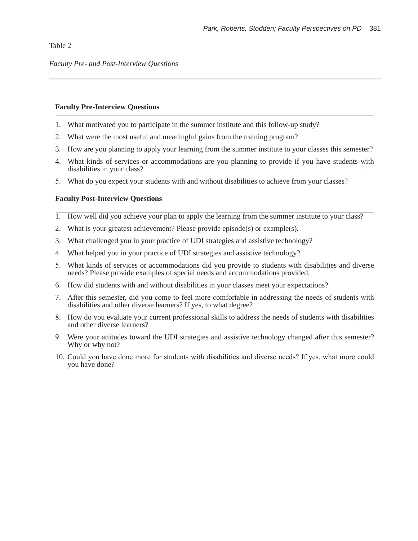Table 2

# **Faculty Pre-Interview Questions**

- 1. What motivated you to participate in the summer institute and this follow-up study?
- 2. What were the most useful and meaningful gains from the training program?
- 3. How are you planning to apply your learning from the summer institute to your classes this semester?
- 4. What kinds of services or accommodations are you planning to provide if you have students with disabilities in your class?
- 5. What do you expect your students with and without disabilities to achieve from your classes?

# **Faculty Post-Interview Questions**

- 1. How well did you achieve your plan to apply the learning from the summer institute to your class?
- 2. What is your greatest achievement? Please provide episode(s) or example(s).
- 3. What challenged you in your practice of UDI strategies and assistive technology?
- 4. What helped you in your practice of UDI strategies and assistive technology?
- 5. What kinds of services or accommodations did you provide to students with disabilities and diverse needs? Please provide examples of special needs and accommodations provided.
- 6. How did students with and without disabilities in your classes meet your expectations?
- 7. After this semester, did you come to feel more comfortable in addressing the needs of students with disabilities and other diverse learners? If yes, to what degree?
- 8. How do you evaluate your current professional skills to address the needs of students with disabilities and other diverse learners?
- 9. Were your attitudes toward the UDI strategies and assistive technology changed after this semester? Why or why not?
- 10. Could you have done more for students with disabilities and diverse needs? If yes, what more could you have done?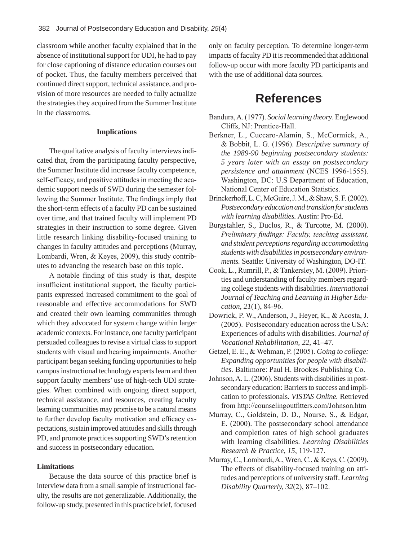classroom while another faculty explained that in the absence of institutional support for UDI, he had to pay for close captioning of distance education courses out of pocket. Thus, the faculty members perceived that continued direct support, technical assistance, and provision of more resources are needed to fully actualize the strategies they acquired from the Summer Institute in the classrooms.

## **Implications**

The qualitative analysis of faculty interviews indicated that, from the participating faculty perspective, the Summer Institute did increase faculty competence, self-efficacy, and positive attitudes in meeting the academic support needs of SWD during the semester following the Summer Institute. The findings imply that the short-term effects of a faculty PD can be sustained over time, and that trained faculty will implement PD strategies in their instruction to some degree. Given little research linking disability-focused training to changes in faculty attitudes and perceptions (Murray, Lombardi, Wren, & Keyes, 2009), this study contributes to advancing the research base on this topic.

A notable finding of this study is that, despite insufficient institutional support, the faculty participants expressed increased commitment to the goal of reasonable and effective accommodations for SWD and created their own learning communities through which they advocated for system change within larger academic contexts. For instance, one faculty participant persuaded colleagues to revise a virtual class to support students with visual and hearing impairments. Another participant began seeking funding opportunities to help campus instructional technology experts learn and then support faculty members' use of high-tech UDI strategies. When combined with ongoing direct support, technical assistance, and resources, creating faculty learning communities may promise to be a natural means to further develop faculty motivation and efficacy expectations, sustain improved attitudes and skills through PD, and promote practices supporting SWD's retention and success in postsecondary education.

#### **Limitations**

Because the data source of this practice brief is interview data from a small sample of instructional faculty, the results are not generalizable. Additionally, the follow-up study, presented in this practice brief, focused

only on faculty perception. To determine longer-term impacts of faculty PD it is recommended that additional follow-up occur with more faculty PD participants and with the use of additional data sources.

# **References**

- Bandura, A. (1977). *Social learning theory*. Englewood Cliffs, NJ: Prentice-Hall.
- Berkner, L., Cuccaro-Alamin, S., McCormick, A., & Bobbit, L. G. (1996). *Descriptive summary of the 1989-90 beginning postsecondary students: 5 years later with an essay on postsecondary persistence and attainment* (NCES 1996-1555). Washington, DC: U.S Department of Education, National Center of Education Statistics.
- Brinckerhoff, L. C, McGuire, J. M., & Shaw, S. F. (2002). *Postsecondary education and transition for students with learning disabilities.* Austin: Pro-Ed.
- Burgstahler, S., Duclos, R., & Turcotte, M. (2000). *Preliminary findings: Faculty, teaching assistant, and student perceptions regarding accommodating students with disabilities in postsecondary environments.* Seattle: University of Washington, DO-IT.
- Cook, L., Rumrill, P., & Tankersley, M. (2009). Priorities and understanding of faculty members regarding college students with disabilities. *International Journal of Teaching and Learning in Higher Education, 21*(1), 84-96.
- Dowrick, P. W., Anderson, J., Heyer, K., & Acosta, J. (2005). Postsecondary education across the USA: Experiences of adults with disabilities. *Journal of Vocational Rehabilitation, 22*, 41–47.
- Getzel, E. E., & Wehman, P. (2005). *Going to college: Expanding opportunities for people with disabilities.* Baltimore: Paul H. Brookes Publishing Co.
- Johnson, A. L. (2006). Students with disabilities in postsecondary education: Barriers to success and implication to professionals. *VISTAS Online.* Retrieved from http://counselingoutfitters.com/Johnson.htm
- Murray, C., Goldstein, D. D., Nourse, S., & Edgar, E. (2000). The postsecondary school attendance and completion rates of high school graduates with learning disabilities. *Learning Disabilities Research & Practice, 15*, 119-127.
- Murray, C., Lombardi, A., Wren, C., & Keys, C. (2009). The effects of disability-focused training on attitudes and perceptions of university staff. *Learning Disability Quarterly, 32*(2), 87–102.